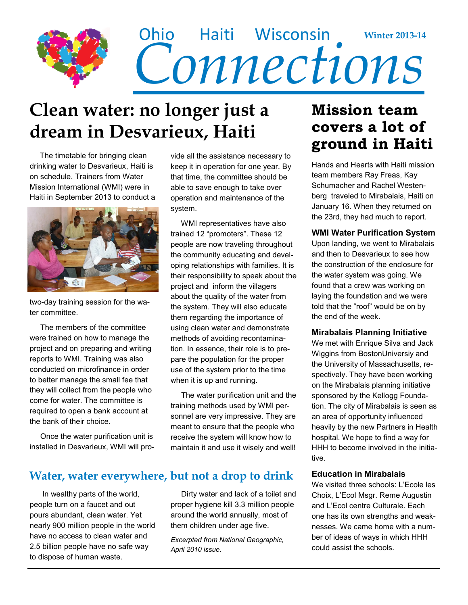

### **Clean water: no longer just a dream in Desvarieux, Haiti**

 The timetable for bringing clean drinking water to Desvarieux, Haiti is on schedule. Trainers from Water Mission International (WMI) were in Haiti in September 2013 to conduct a



two-day training session for the water committee.

 The members of the committee were trained on how to manage the project and on preparing and writing reports to WMI. Training was also conducted on microfinance in order to better manage the small fee that they will collect from the people who come for water. The committee is required to open a bank account at the bank of their choice.

 Once the water purification unit is installed in Desvarieux, WMI will provide all the assistance necessary to keep it in operation for one year. By that time, the committee should be able to save enough to take over operation and maintenance of the system.

 WMI representatives have also trained 12 "promoters". These 12 people are now traveling throughout the community educating and developing relationships with families. It is their responsibility to speak about the project and inform the villagers about the quality of the water from the system. They will also educate them regarding the importance of using clean water and demonstrate methods of avoiding recontamination. In essence, their role is to prepare the population for the proper use of the system prior to the time when it is up and running.

 The water purification unit and the training methods used by WMI personnel are very impressive. They are meant to ensure that the people who receive the system will know how to maintain it and use it wisely and well!

### **Water, water everywhere, but not a drop to drink**

 In wealthy parts of the world, people turn on a faucet and out pours abundant, clean water. Yet nearly 900 million people in the world have no access to clean water and 2.5 billion people have no safe way to dispose of human waste.

 Dirty water and lack of a toilet and proper hygiene kill 3.3 million people around the world annually, most of them children under age five.

*Excerpted from National Geographic, April 2010 issue.*

### **Mission team covers a lot of ground in Haiti**

Hands and Hearts with Haiti mission team members Ray Freas, Kay Schumacher and Rachel Westenberg traveled to Mirabalais, Haiti on January 16. When they returned on the 23rd, they had much to report.

#### **WMI Water Purification System**

Upon landing, we went to Mirabalais and then to Desvarieux to see how the construction of the enclosure for the water system was going. We found that a crew was working on laying the foundation and we were told that the "roof" would be on by the end of the week.

#### **Mirabalais Planning Initiative**

We met with Enrique Silva and Jack Wiggins from BostonUniversiy and the University of Massachusetts, respectively. They have been working on the Mirabalais planning initiative sponsored by the Kellogg Foundation. The city of Mirabalais is seen as an area of opportunity influenced heavily by the new Partners in Health hospital. We hope to find a way for HHH to become involved in the initiative.

#### **Education in Mirabalais**

We visited three schools: L'Ecole les Choix, L'Ecol Msgr. Reme Augustin and L'Ecol centre Culturale. Each one has its own strengths and weaknesses. We came home with a number of ideas of ways in which HHH could assist the schools.